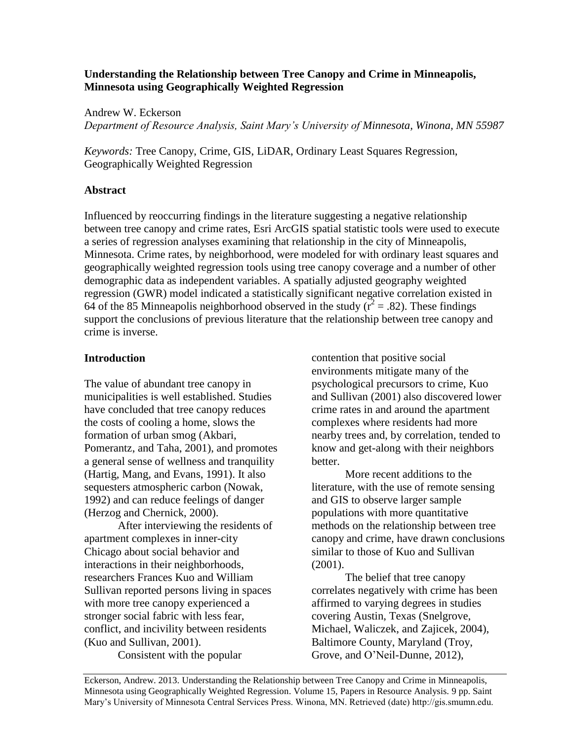# **Understanding the Relationship between Tree Canopy and Crime in Minneapolis, Minnesota using Geographically Weighted Regression**

Andrew W. Eckerson

*Department of Resource Analysis, Saint Mary's University of Minnesota, Winona, MN 55987*

*Keywords:* Tree Canopy, Crime, GIS, LiDAR, Ordinary Least Squares Regression, Geographically Weighted Regression

# **Abstract**

Influenced by reoccurring findings in the literature suggesting a negative relationship between tree canopy and crime rates, Esri ArcGIS spatial statistic tools were used to execute a series of regression analyses examining that relationship in the city of Minneapolis, Minnesota. Crime rates, by neighborhood, were modeled for with ordinary least squares and geographically weighted regression tools using tree canopy coverage and a number of other demographic data as independent variables. A spatially adjusted geography weighted regression (GWR) model indicated a statistically significant negative correlation existed in 64 of the 85 Minneapolis neighborhood observed in the study  $(r^2 = .82)$ . These findings support the conclusions of previous literature that the relationship between tree canopy and crime is inverse.

# **Introduction**

The value of abundant tree canopy in municipalities is well established. Studies have concluded that tree canopy reduces the costs of cooling a home, slows the formation of urban smog (Akbari, Pomerantz, and Taha, 2001), and promotes a general sense of wellness and tranquility (Hartig, Mang, and Evans, 1991). It also sequesters atmospheric carbon (Nowak, 1992) and can reduce feelings of danger (Herzog and Chernick, 2000).

After interviewing the residents of apartment complexes in inner-city Chicago about social behavior and interactions in their neighborhoods, researchers Frances Kuo and William Sullivan reported persons living in spaces with more tree canopy experienced a stronger social fabric with less fear, conflict, and incivility between residents (Kuo and Sullivan, 2001).

Consistent with the popular

contention that positive social environments mitigate many of the psychological precursors to crime, Kuo and Sullivan (2001) also discovered lower crime rates in and around the apartment complexes where residents had more nearby trees and, by correlation, tended to know and get-along with their neighbors better.

More recent additions to the literature, with the use of remote sensing and GIS to observe larger sample populations with more quantitative methods on the relationship between tree canopy and crime, have drawn conclusions similar to those of Kuo and Sullivan (2001).

The belief that tree canopy correlates negatively with crime has been affirmed to varying degrees in studies covering Austin, Texas (Snelgrove, Michael, Waliczek, and Zajicek, 2004), Baltimore County, Maryland (Troy, Grove, and O'Neil-Dunne, 2012),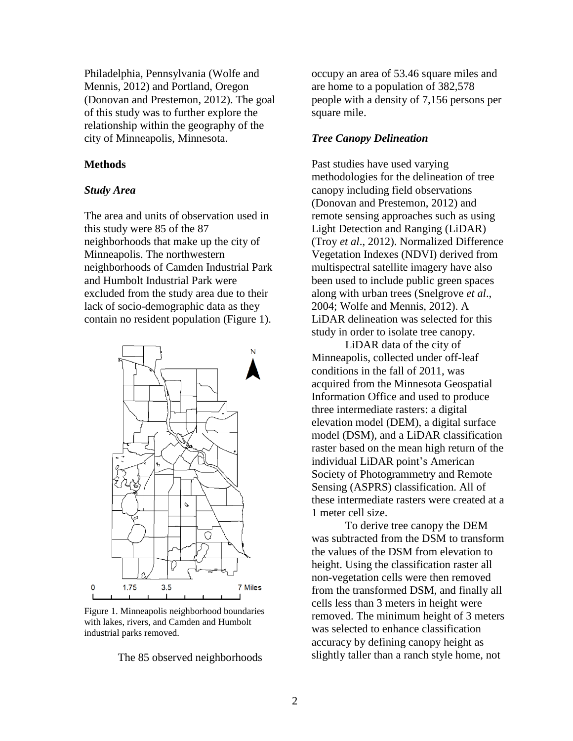Philadelphia, Pennsylvania (Wolfe and Mennis, 2012) and Portland, Oregon (Donovan and Prestemon, 2012). The goal of this study was to further explore the relationship within the geography of the city of Minneapolis, Minnesota.

### **Methods**

#### *Study Area*

The area and units of observation used in this study were 85 of the 87 neighborhoods that make up the city of Minneapolis. The northwestern neighborhoods of Camden Industrial Park and Humbolt Industrial Park were excluded from the study area due to their lack of socio-demographic data as they contain no resident population (Figure 1).



Figure 1. Minneapolis neighborhood boundaries with lakes, rivers, and Camden and Humbolt industrial parks removed.

The 85 observed neighborhoods

occupy an area of 53.46 square miles and are home to a population of 382,578 people with a density of 7,156 persons per square mile.

### *Tree Canopy Delineation*

Past studies have used varying methodologies for the delineation of tree canopy including field observations (Donovan and Prestemon, 2012) and remote sensing approaches such as using Light Detection and Ranging (LiDAR) (Troy *et al*., 2012). Normalized Difference Vegetation Indexes (NDVI) derived from multispectral satellite imagery have also been used to include public green spaces along with urban trees (Snelgrove *et al*., 2004; Wolfe and Mennis, 2012). A LiDAR delineation was selected for this study in order to isolate tree canopy.

LiDAR data of the city of Minneapolis, collected under off-leaf conditions in the fall of 2011, was acquired from the Minnesota Geospatial Information Office and used to produce three intermediate rasters: a digital elevation model (DEM), a digital surface model (DSM), and a LiDAR classification raster based on the mean high return of the individual LiDAR point's American Society of Photogrammetry and Remote Sensing (ASPRS) classification. All of these intermediate rasters were created at a 1 meter cell size.

To derive tree canopy the DEM was subtracted from the DSM to transform the values of the DSM from elevation to height. Using the classification raster all non-vegetation cells were then removed from the transformed DSM, and finally all cells less than 3 meters in height were removed. The minimum height of 3 meters was selected to enhance classification accuracy by defining canopy height as slightly taller than a ranch style home, not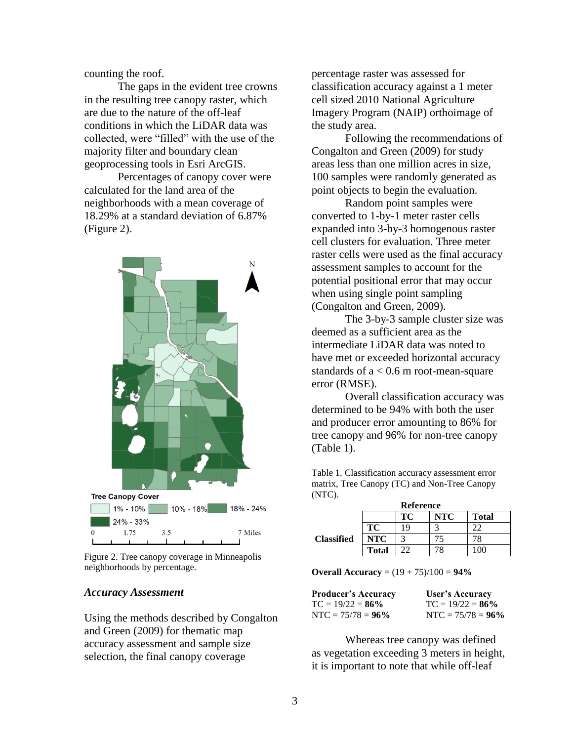counting the roof.

The gaps in the evident tree crowns in the resulting tree canopy raster, which are due to the nature of the off-leaf conditions in which the LiDAR data was collected, were "filled" with the use of the majority filter and boundary clean geoprocessing tools in Esri ArcGIS.

Percentages of canopy cover were calculated for the land area of the neighborhoods with a mean coverage of 18.29% at a standard deviation of 6.87% (Figure 2).



Figure 2. Tree canopy coverage in Minneapolis neighborhoods by percentage.

#### *Accuracy Assessment*

Using the methods described by Congalton and Green (2009) for thematic map accuracy assessment and sample size selection, the final canopy coverage

percentage raster was assessed for classification accuracy against a 1 meter cell sized 2010 National Agriculture Imagery Program (NAIP) orthoimage of the study area.

Following the recommendations of Congalton and Green (2009) for study areas less than one million acres in size, 100 samples were randomly generated as point objects to begin the evaluation.

Random point samples were converted to 1-by-1 meter raster cells expanded into 3-by-3 homogenous raster cell clusters for evaluation. Three meter raster cells were used as the final accuracy assessment samples to account for the potential positional error that may occur when using single point sampling (Congalton and Green, 2009).

The 3-by-3 sample cluster size was deemed as a sufficient area as the intermediate LiDAR data was noted to have met or exceeded horizontal accuracy standards of  $a < 0.6$  m root-mean-square error (RMSE).

Overall classification accuracy was determined to be 94% with both the user and producer error amounting to 86% for tree canopy and 96% for non-tree canopy (Table 1).

Table 1. Classification accuracy assessment error matrix, Tree Canopy (TC) and Non-Tree Canopy (NTC).

|                   | <b>Reference</b> |              |     |              |  |
|-------------------|------------------|--------------|-----|--------------|--|
|                   |                  | TC           | NTC | <b>Total</b> |  |
| <b>Classified</b> | TС               | 1 Q          |     |              |  |
|                   | <b>NTC</b>       |              |     |              |  |
|                   | <b>Total</b>     | $22^{\circ}$ | '8  |              |  |

**Overall Accuracy** = (19 + 75)/100 = **94%**

| <b>Producer's Accuracy</b> | User's Accuracy      |
|----------------------------|----------------------|
| $TC = 19/22 = 86\%$        | $TC = 19/22 = 86\%$  |
| $NTC = 75/78 = 96\%$       | $NTC = 75/78 = 96\%$ |

Whereas tree canopy was defined as vegetation exceeding 3 meters in height, it is important to note that while off-leaf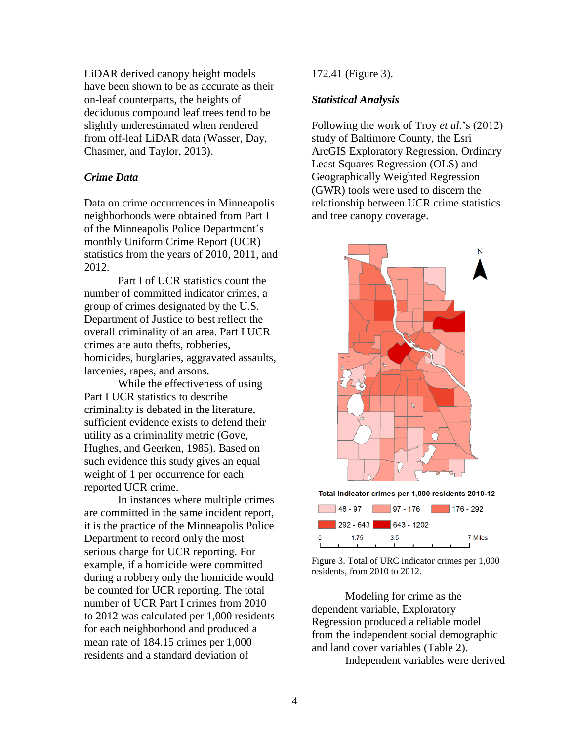LiDAR derived canopy height models have been shown to be as accurate as their on-leaf counterparts, the heights of deciduous compound leaf trees tend to be slightly underestimated when rendered from off-leaf LiDAR data (Wasser, Day, Chasmer, and Taylor, 2013).

### *Crime Data*

Data on crime occurrences in Minneapolis neighborhoods were obtained from Part I of the Minneapolis Police Department's monthly Uniform Crime Report (UCR) statistics from the years of 2010, 2011, and 2012.

Part I of UCR statistics count the number of committed indicator crimes, a group of crimes designated by the U.S. Department of Justice to best reflect the overall criminality of an area. Part I UCR crimes are auto thefts, robberies, homicides, burglaries, aggravated assaults, larcenies, rapes, and arsons.

While the effectiveness of using Part I UCR statistics to describe criminality is debated in the literature, sufficient evidence exists to defend their utility as a criminality metric (Gove, Hughes, and Geerken, 1985). Based on such evidence this study gives an equal weight of 1 per occurrence for each reported UCR crime.

In instances where multiple crimes are committed in the same incident report, it is the practice of the Minneapolis Police Department to record only the most serious charge for UCR reporting. For example, if a homicide were committed during a robbery only the homicide would be counted for UCR reporting. The total number of UCR Part I crimes from 2010 to 2012 was calculated per 1,000 residents for each neighborhood and produced a mean rate of 184.15 crimes per 1,000 residents and a standard deviation of

### 172.41 (Figure 3).

### *Statistical Analysis*

Following the work of Troy *et al.*'s (2012) study of Baltimore County, the Esri ArcGIS Exploratory Regression, Ordinary Least Squares Regression (OLS) and Geographically Weighted Regression (GWR) tools were used to discern the relationship between UCR crime statistics and tree canopy coverage.



Figure 3. Total of URC indicator crimes per 1,000 residents, from 2010 to 2012.

Modeling for crime as the dependent variable, Exploratory Regression produced a reliable model from the independent social demographic and land cover variables (Table 2). Independent variables were derived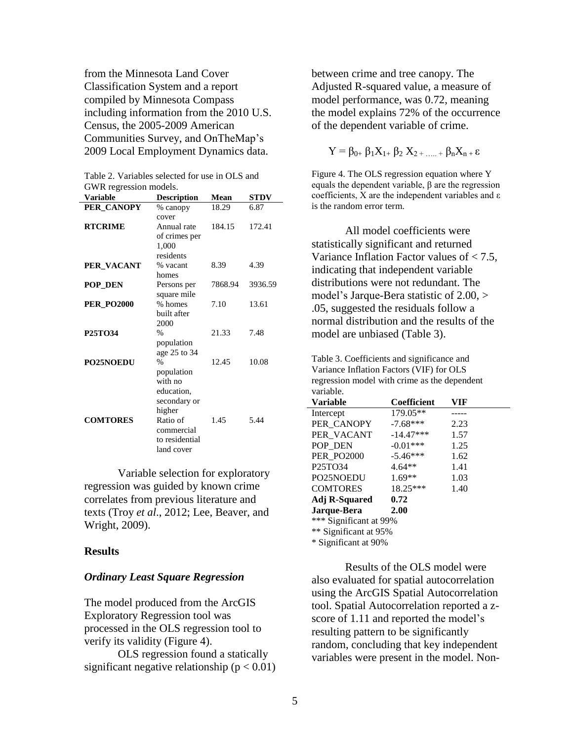from the Minnesota Land Cover Classification System and a report compiled by Minnesota Compass including information from the 2010 U.S. Census, the 2005-2009 American Communities Survey, and OnTheMap's 2009 Local Employment Dynamics data.

| GWR regression models. |                    |         |             |  |
|------------------------|--------------------|---------|-------------|--|
| <b>Variable</b>        | <b>Description</b> | Mean    | <b>STDV</b> |  |
| PER_CANOPY             | % canopy           | 18.29   | 6.87        |  |
|                        | cover              |         |             |  |
| <b>RTCRIME</b>         | Annual rate        | 184.15  | 172.41      |  |
|                        | of crimes per      |         |             |  |
|                        | 1,000              |         |             |  |
|                        | residents          |         |             |  |
| PER_VACANT             | % vacant           | 8.39    | 4.39        |  |
|                        | homes              |         |             |  |
| <b>POP_DEN</b>         | Persons per        | 7868.94 | 3936.59     |  |
|                        | square mile        |         |             |  |
| <b>PER PO2000</b>      | % homes            | 7.10    | 13.61       |  |
|                        | built after        |         |             |  |
|                        | 2000               |         |             |  |
| <b>P25TO34</b>         | $\frac{0}{0}$      | 21.33   | 7.48        |  |
|                        | population         |         |             |  |
|                        | age 25 to 34       |         |             |  |
| <b>PO25NOEDU</b>       | $\frac{0}{0}$      | 12.45   | 10.08       |  |
|                        | population         |         |             |  |
|                        | with no            |         |             |  |
|                        | education,         |         |             |  |
|                        | secondary or       |         |             |  |
|                        | higher             |         |             |  |
| <b>COMTORES</b>        | Ratio of           | 1.45    | 5.44        |  |
|                        | commercial         |         |             |  |
|                        | to residential     |         |             |  |
|                        | land cover         |         |             |  |

Table 2. Variables selected for use in OLS and GWR regression models.

Variable selection for exploratory regression was guided by known crime correlates from previous literature and texts (Troy *et al*., 2012; Lee, Beaver, and Wright, 2009).

#### **Results**

#### *Ordinary Least Square Regression*

The model produced from the ArcGIS Exploratory Regression tool was processed in the OLS regression tool to verify its validity (Figure 4).

OLS regression found a statically significant negative relationship ( $p < 0.01$ ) between crime and tree canopy. The Adjusted R-squared value, a measure of model performance, was 0.72, meaning the model explains 72% of the occurrence of the dependent variable of crime.

$$
Y = \beta_{0+} \beta_1 X_{1+} \beta_2 X_{2+ \dots +} \beta_n X_{n+} \epsilon
$$

Figure 4. The OLS regression equation where Y equals the dependent variable, β are the regression coefficients, X are the independent variables and  $\varepsilon$ is the random error term.

All model coefficients were statistically significant and returned Variance Inflation Factor values of < 7.5, indicating that independent variable distributions were not redundant. The model's Jarque-Bera statistic of 2.00, > .05, suggested the residuals follow a normal distribution and the results of the model are unbiased (Table 3).

Table 3. Coefficients and significance and Variance Inflation Factors (VIF) for OLS regression model with crime as the dependent variable.

| <b>Variable</b>                  | Coefficient | VIF  |  |  |
|----------------------------------|-------------|------|--|--|
| Intercept                        | 179.05**    |      |  |  |
| PER CANOPY                       | $-7.68***$  | 2.23 |  |  |
| PER VACANT                       | $-14.47***$ | 1.57 |  |  |
| POP DEN                          | $-0.01***$  | 1.25 |  |  |
| <b>PER_PO2000</b>                | $-5.46***$  | 1.62 |  |  |
| P <sub>25</sub> TO <sub>34</sub> | $4.64**$    | 1.41 |  |  |
| PO25NOEDU                        | $1.69**$    | 1.03 |  |  |
| <b>COMTORES</b>                  | 18.25***    | 1.40 |  |  |
| <b>Adj R-Squared</b>             | 0.72        |      |  |  |
| Jarque-Bera                      | 2.00        |      |  |  |
| *** Significant at 99%           |             |      |  |  |
| ** Significant at 95%            |             |      |  |  |
|                                  |             |      |  |  |

\* Significant at 90%

Results of the OLS model were also evaluated for spatial autocorrelation using the ArcGIS Spatial Autocorrelation tool. Spatial Autocorrelation reported a zscore of 1.11 and reported the model's resulting pattern to be significantly random, concluding that key independent variables were present in the model. Non-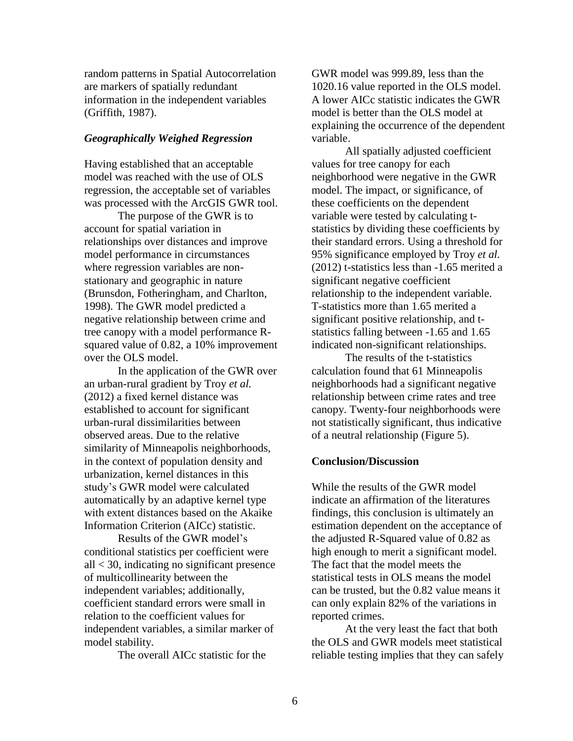random patterns in Spatial Autocorrelation are markers of spatially redundant information in the independent variables (Griffith, 1987).

### *Geographically Weighed Regression*

Having established that an acceptable model was reached with the use of OLS regression, the acceptable set of variables was processed with the ArcGIS GWR tool.

The purpose of the GWR is to account for spatial variation in relationships over distances and improve model performance in circumstances where regression variables are nonstationary and geographic in nature (Brunsdon, Fotheringham, and Charlton, 1998). The GWR model predicted a negative relationship between crime and tree canopy with a model performance Rsquared value of 0.82, a 10% improvement over the OLS model.

In the application of the GWR over an urban-rural gradient by Troy *et al.* (2012) a fixed kernel distance was established to account for significant urban-rural dissimilarities between observed areas. Due to the relative similarity of Minneapolis neighborhoods, in the context of population density and urbanization, kernel distances in this study's GWR model were calculated automatically by an adaptive kernel type with extent distances based on the Akaike Information Criterion (AICc) statistic.

Results of the GWR model's conditional statistics per coefficient were all < 30, indicating no significant presence of multicollinearity between the independent variables; additionally, coefficient standard errors were small in relation to the coefficient values for independent variables, a similar marker of model stability.

The overall AICc statistic for the

GWR model was 999.89, less than the 1020.16 value reported in the OLS model. A lower AICc statistic indicates the GWR model is better than the OLS model at explaining the occurrence of the dependent variable.

All spatially adjusted coefficient values for tree canopy for each neighborhood were negative in the GWR model. The impact, or significance, of these coefficients on the dependent variable were tested by calculating tstatistics by dividing these coefficients by their standard errors. Using a threshold for 95% significance employed by Troy *et al.* (2012) t-statistics less than -1.65 merited a significant negative coefficient relationship to the independent variable. T-statistics more than 1.65 merited a significant positive relationship, and tstatistics falling between -1.65 and 1.65 indicated non-significant relationships.

The results of the t-statistics calculation found that 61 Minneapolis neighborhoods had a significant negative relationship between crime rates and tree canopy. Twenty-four neighborhoods were not statistically significant, thus indicative of a neutral relationship (Figure 5).

#### **Conclusion/Discussion**

While the results of the GWR model indicate an affirmation of the literatures findings, this conclusion is ultimately an estimation dependent on the acceptance of the adjusted R-Squared value of 0.82 as high enough to merit a significant model. The fact that the model meets the statistical tests in OLS means the model can be trusted, but the 0.82 value means it can only explain 82% of the variations in reported crimes.

At the very least the fact that both the OLS and GWR models meet statistical reliable testing implies that they can safely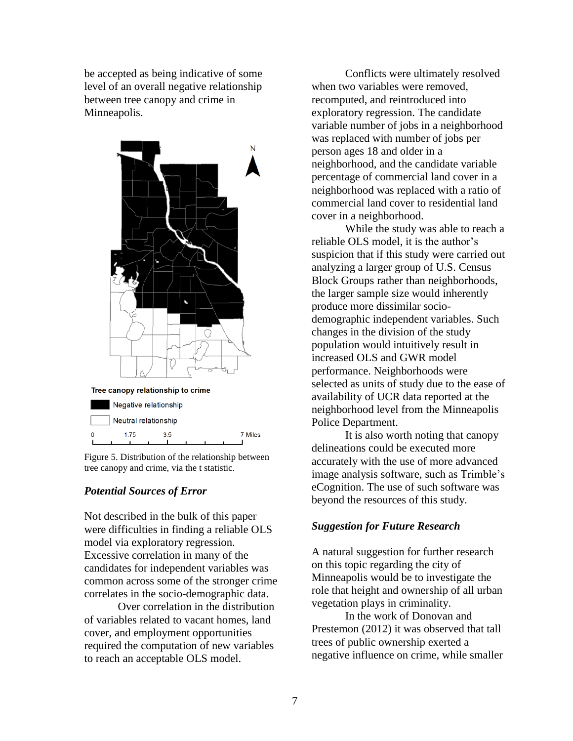be accepted as being indicative of some level of an overall negative relationship between tree canopy and crime in Minneapolis.



Figure 5. Distribution of the relationship between tree canopy and crime, via the t statistic.

### *Potential Sources of Error*

Not described in the bulk of this paper were difficulties in finding a reliable OLS model via exploratory regression. Excessive correlation in many of the candidates for independent variables was common across some of the stronger crime correlates in the socio-demographic data.

Over correlation in the distribution of variables related to vacant homes, land cover, and employment opportunities required the computation of new variables to reach an acceptable OLS model.

Conflicts were ultimately resolved when two variables were removed, recomputed, and reintroduced into exploratory regression. The candidate variable number of jobs in a neighborhood was replaced with number of jobs per person ages 18 and older in a neighborhood, and the candidate variable percentage of commercial land cover in a neighborhood was replaced with a ratio of commercial land cover to residential land cover in a neighborhood.

While the study was able to reach a reliable OLS model, it is the author's suspicion that if this study were carried out analyzing a larger group of U.S. Census Block Groups rather than neighborhoods, the larger sample size would inherently produce more dissimilar sociodemographic independent variables. Such changes in the division of the study population would intuitively result in increased OLS and GWR model performance. Neighborhoods were selected as units of study due to the ease of availability of UCR data reported at the neighborhood level from the Minneapolis Police Department.

It is also worth noting that canopy delineations could be executed more accurately with the use of more advanced image analysis software, such as Trimble's eCognition. The use of such software was beyond the resources of this study.

### *Suggestion for Future Research*

A natural suggestion for further research on this topic regarding the city of Minneapolis would be to investigate the role that height and ownership of all urban vegetation plays in criminality.

In the work of Donovan and Prestemon (2012) it was observed that tall trees of public ownership exerted a negative influence on crime, while smaller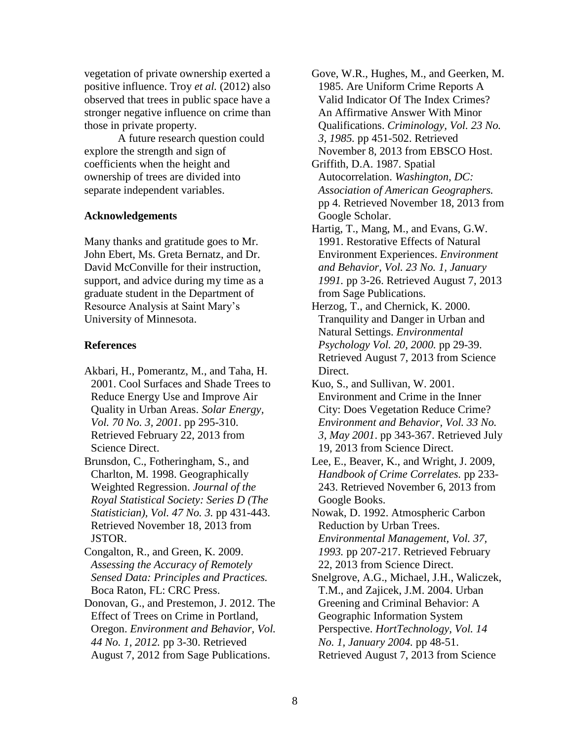vegetation of private ownership exerted a positive influence. Troy *et al.* (2012) also observed that trees in public space have a stronger negative influence on crime than those in private property.

A future research question could explore the strength and sign of coefficients when the height and ownership of trees are divided into separate independent variables.

# **Acknowledgements**

Many thanks and gratitude goes to Mr. John Ebert, Ms. Greta Bernatz, and Dr. David McConville for their instruction, support, and advice during my time as a graduate student in the Department of Resource Analysis at Saint Mary's University of Minnesota.

# **References**

- Akbari, H., Pomerantz, M., and Taha, H. 2001. Cool Surfaces and Shade Trees to Reduce Energy Use and Improve Air Quality in Urban Areas. *Solar Energy, Vol. 70 No. 3, 2001*. pp 295-310. Retrieved February 22, 2013 from Science Direct.
- Brunsdon, C., Fotheringham, S., and Charlton, M. 1998. Geographically Weighted Regression. *Journal of the Royal Statistical Society: Series D (The Statistician), Vol. 47 No. 3.* pp 431-443. Retrieved November 18, 2013 from JSTOR.

Congalton, R., and Green, K. 2009. *Assessing the Accuracy of Remotely Sensed Data: Principles and Practices.* Boca Raton, FL: CRC Press.

Donovan, G., and Prestemon, J. 2012. The Effect of Trees on Crime in Portland, Oregon. *Environment and Behavior, Vol. 44 No. 1, 2012.* pp 3-30. Retrieved August 7, 2012 from Sage Publications.

Gove, W.R., Hughes, M., and Geerken, M. 1985. Are Uniform Crime Reports A Valid Indicator Of The Index Crimes? An Affirmative Answer With Minor Qualifications. *Criminology, Vol. 23 No. 3, 1985.* pp 451-502. Retrieved November 8, 2013 from EBSCO Host.

- Griffith, D.A. 1987. Spatial Autocorrelation. *Washington, DC: Association of American Geographers.* pp 4. Retrieved November 18, 2013 from Google Scholar.
- Hartig, T., Mang, M., and Evans, G.W. 1991. Restorative Effects of Natural Environment Experiences. *Environment and Behavior, Vol. 23 No. 1, January 1991.* pp 3-26. Retrieved August 7, 2013 from Sage Publications.
- Herzog, T., and Chernick, K. 2000. Tranquility and Danger in Urban and Natural Settings. *Environmental Psychology Vol. 20, 2000.* pp 29-39. Retrieved August 7, 2013 from Science Direct.
- Kuo, S., and Sullivan, W. 2001. Environment and Crime in the Inner City: Does Vegetation Reduce Crime? *Environment and Behavior, Vol. 33 No. 3, May 2001*. pp 343-367. Retrieved July 19, 2013 from Science Direct.
- Lee, E., Beaver, K., and Wright, J. 2009, *Handbook of Crime Correlates.* pp 233- 243. Retrieved November 6, 2013 from Google Books.
- Nowak, D. 1992. Atmospheric Carbon Reduction by Urban Trees. *Environmental Management, Vol. 37, 1993.* pp 207-217. Retrieved February 22, 2013 from Science Direct.
- Snelgrove, A.G., Michael, J.H., Waliczek, T.M., and Zajicek, J.M. 2004. Urban Greening and Criminal Behavior: A Geographic Information System Perspective. *HortTechnology, Vol. 14 No. 1, January 2004.* pp 48-51. Retrieved August 7, 2013 from Science